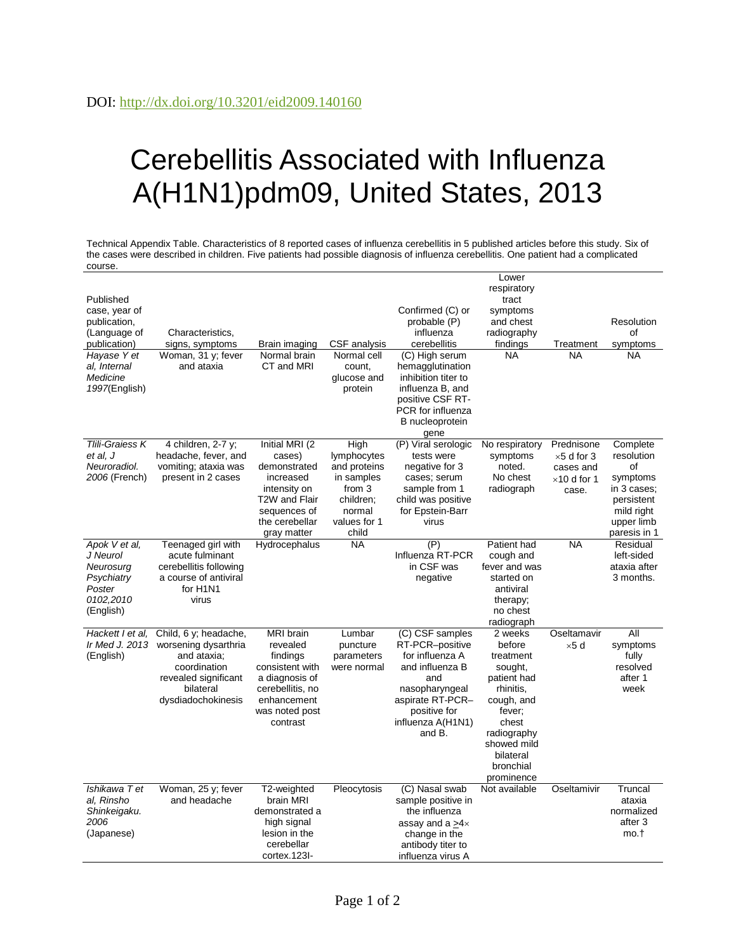## Cerebellitis Associated with Influenza A(H1N1)pdm09, United States, 2013

Technical Appendix Table. Characteristics of 8 reported cases of influenza cerebellitis in 5 published articles before this study. Six of the cases were described in children. Five patients had possible diagnosis of influenza cerebellitis. One patient had a complicated course.

| Published                                                                                |                                                                                                                                         |                                                                                                                                                |                                                                                                             |                                                                                                                                                                      | Lower<br>respiratory<br>tract                                                                                                                                                |                                                                               |                                                                                                                   |
|------------------------------------------------------------------------------------------|-----------------------------------------------------------------------------------------------------------------------------------------|------------------------------------------------------------------------------------------------------------------------------------------------|-------------------------------------------------------------------------------------------------------------|----------------------------------------------------------------------------------------------------------------------------------------------------------------------|------------------------------------------------------------------------------------------------------------------------------------------------------------------------------|-------------------------------------------------------------------------------|-------------------------------------------------------------------------------------------------------------------|
| case, year of<br>publication,<br>(Language of<br>publication)                            | Characteristics,<br>signs, symptoms                                                                                                     | Brain imaging                                                                                                                                  | CSF analysis                                                                                                | Confirmed (C) or<br>probable (P)<br>influenza<br>cerebellitis                                                                                                        | symptoms<br>and chest<br>radiography<br>findings                                                                                                                             | Treatment                                                                     | Resolution<br>οf<br>symptoms                                                                                      |
| Hayase Y et<br>al, Internal<br>Medicine<br>1997(English)                                 | Woman, 31 y; fever<br>and ataxia                                                                                                        | Normal brain<br>CT and MRI                                                                                                                     | Normal cell<br>count,<br>glucose and<br>protein                                                             | (C) High serum<br>hemagglutination<br>inhibition titer to<br>influenza B, and<br>positive CSF RT-<br>PCR for influenza<br>B nucleoprotein<br>gene                    | <b>NA</b>                                                                                                                                                                    | ΝA                                                                            | <b>NA</b>                                                                                                         |
| Tlili-Graiess K<br>et al, J<br>Neuroradiol.<br>2006 (French)                             | 4 children, 2-7 y;<br>headache, fever, and<br>vomiting; ataxia was<br>present in 2 cases                                                | Initial MRI (2<br>cases)<br>demonstrated<br>increased<br>intensity on<br>T2W and Flair<br>sequences of<br>the cerebellar<br>gray matter        | High<br>lymphocytes<br>and proteins<br>in samples<br>from 3<br>children;<br>normal<br>values for 1<br>child | (P) Viral serologic<br>tests were<br>negative for 3<br>cases; serum<br>sample from 1<br>child was positive<br>for Epstein-Barr<br>virus                              | No respiratory<br>symptoms<br>noted.<br>No chest<br>radiograph                                                                                                               | Prednisone<br>$\times$ 5 d for 3<br>cases and<br>$\times$ 10 d for 1<br>case. | Complete<br>resolution<br>οf<br>symptoms<br>in 3 cases;<br>persistent<br>mild right<br>upper limb<br>paresis in 1 |
| Apok V et al.<br>J Neurol<br>Neurosurg<br>Psychiatry<br>Poster<br>0102,2010<br>(English) | Teenaged girl with<br>acute fulminant<br>cerebellitis following<br>a course of antiviral<br>for H <sub>1</sub> N <sub>1</sub><br>virus  | Hydrocephalus                                                                                                                                  | <b>NA</b>                                                                                                   | (P)<br>Influenza RT-PCR<br>in CSF was<br>negative                                                                                                                    | Patient had<br>cough and<br>fever and was<br>started on<br>antiviral<br>therapy;<br>no chest<br>radiograph                                                                   | <b>NA</b>                                                                     | Residual<br>left-sided<br>ataxia after<br>3 months.                                                               |
| Hackett I et al.<br>Ir Med J. 2013<br>(English)                                          | Child, 6 y; headache,<br>worsening dysarthria<br>and ataxia;<br>coordination<br>revealed significant<br>bilateral<br>dysdiadochokinesis | <b>MRI</b> brain<br>revealed<br>findings<br>consistent with<br>a diagnosis of<br>cerebellitis, no<br>enhancement<br>was noted post<br>contrast | Lumbar<br>puncture<br>parameters<br>were normal                                                             | (C) CSF samples<br>RT-PCR-positive<br>for influenza A<br>and influenza B<br>and<br>nasopharyngeal<br>aspirate RT-PCR-<br>positive for<br>influenza A(H1N1)<br>and B. | 2 weeks<br>before<br>treatment<br>sought,<br>patient had<br>rhinitis.<br>cough, and<br>fever;<br>chest<br>radiography<br>showed mild<br>bilateral<br>bronchial<br>prominence | Oseltamavir<br>$\times$ 5 d                                                   | All<br>symptoms<br>fully<br>resolved<br>after 1<br>week                                                           |
| Ishikawa T et<br>al, Rinsho<br>Shinkeigaku.<br>2006<br>(Japanese)                        | Woman, 25 y; fever<br>and headache                                                                                                      | T2-weighted<br>brain MRI<br>demonstrated a<br>high signal<br>lesion in the<br>cerebellar<br>cortex.123I-                                       | Pleocytosis                                                                                                 | (C) Nasal swab<br>sample positive in<br>the influenza<br>assay and a $>4\times$<br>change in the<br>antibody titer to<br>influenza virus A                           | Not available                                                                                                                                                                | Oseltamivir                                                                   | Truncal<br>ataxia<br>normalized<br>after 3<br>mo.t                                                                |